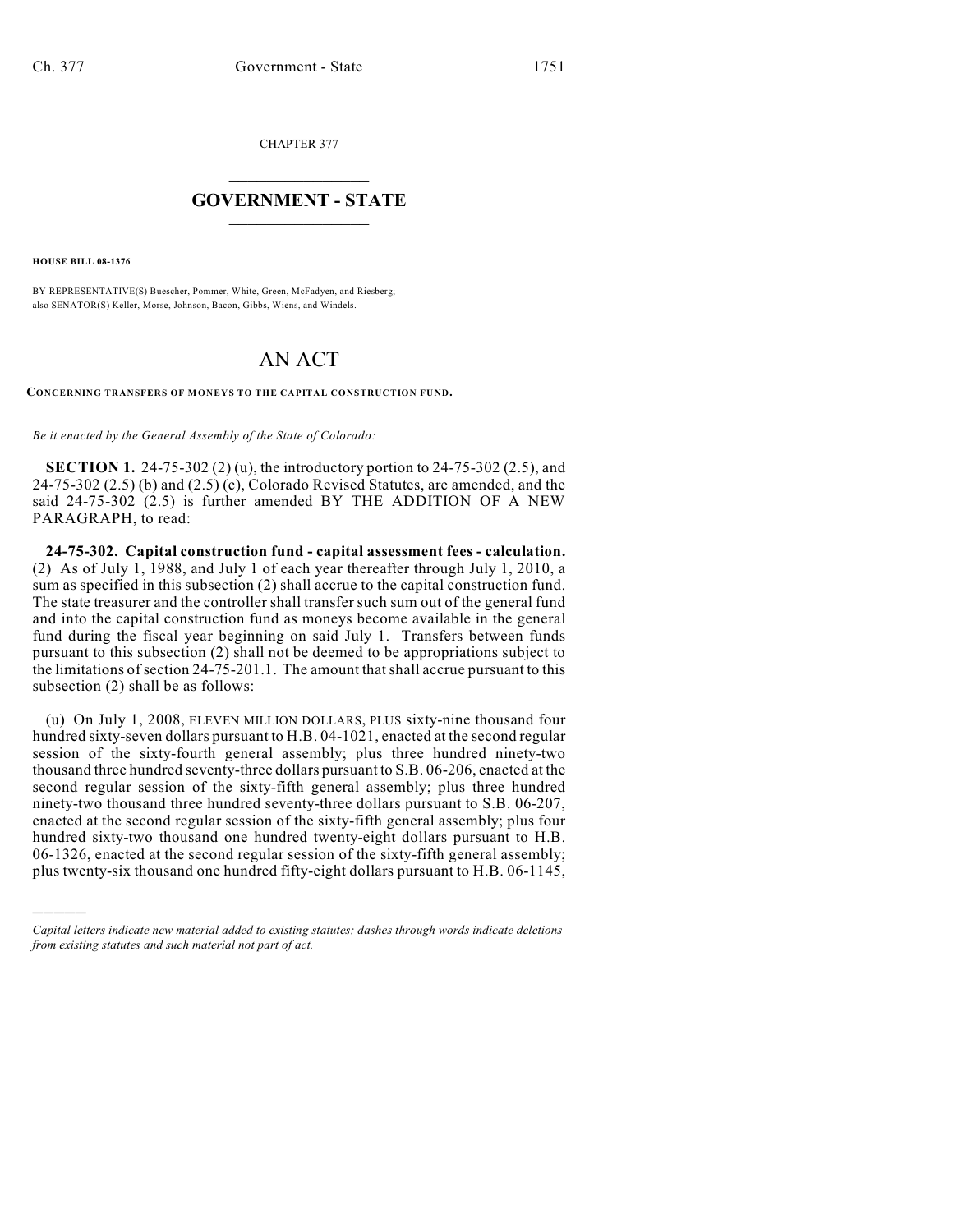CHAPTER 377

## $\overline{\phantom{a}}$  . The set of the set of the set of the set of the set of the set of the set of the set of the set of the set of the set of the set of the set of the set of the set of the set of the set of the set of the set o **GOVERNMENT - STATE**  $\_$

**HOUSE BILL 08-1376**

)))))

BY REPRESENTATIVE(S) Buescher, Pommer, White, Green, McFadyen, and Riesberg; also SENATOR(S) Keller, Morse, Johnson, Bacon, Gibbs, Wiens, and Windels.

## AN ACT

**CONCERNING TRANSFERS OF MONEYS TO THE CAPITAL CONSTRUCTION FUND.**

*Be it enacted by the General Assembly of the State of Colorado:*

**SECTION 1.** 24-75-302 (2) (u), the introductory portion to 24-75-302 (2.5), and  $24-75-302$   $(2.5)$  (b) and  $(2.5)$  (c), Colorado Revised Statutes, are amended, and the said 24-75-302 (2.5) is further amended BY THE ADDITION OF A NEW PARAGRAPH, to read:

**24-75-302. Capital construction fund - capital assessment fees - calculation.** (2) As of July 1, 1988, and July 1 of each year thereafter through July 1, 2010, a sum as specified in this subsection (2) shall accrue to the capital construction fund. The state treasurer and the controller shall transfer such sum out of the general fund and into the capital construction fund as moneys become available in the general fund during the fiscal year beginning on said July 1. Transfers between funds pursuant to this subsection (2) shall not be deemed to be appropriations subject to the limitations of section 24-75-201.1. The amount that shall accrue pursuant to this subsection (2) shall be as follows:

(u) On July 1, 2008, ELEVEN MILLION DOLLARS, PLUS sixty-nine thousand four hundred sixty-seven dollars pursuant to H.B. 04-1021, enacted at the second regular session of the sixty-fourth general assembly; plus three hundred ninety-two thousand three hundred seventy-three dollars pursuant to S.B. 06-206, enacted at the second regular session of the sixty-fifth general assembly; plus three hundred ninety-two thousand three hundred seventy-three dollars pursuant to S.B. 06-207, enacted at the second regular session of the sixty-fifth general assembly; plus four hundred sixty-two thousand one hundred twenty-eight dollars pursuant to H.B. 06-1326, enacted at the second regular session of the sixty-fifth general assembly; plus twenty-six thousand one hundred fifty-eight dollars pursuant to H.B. 06-1145,

*Capital letters indicate new material added to existing statutes; dashes through words indicate deletions from existing statutes and such material not part of act.*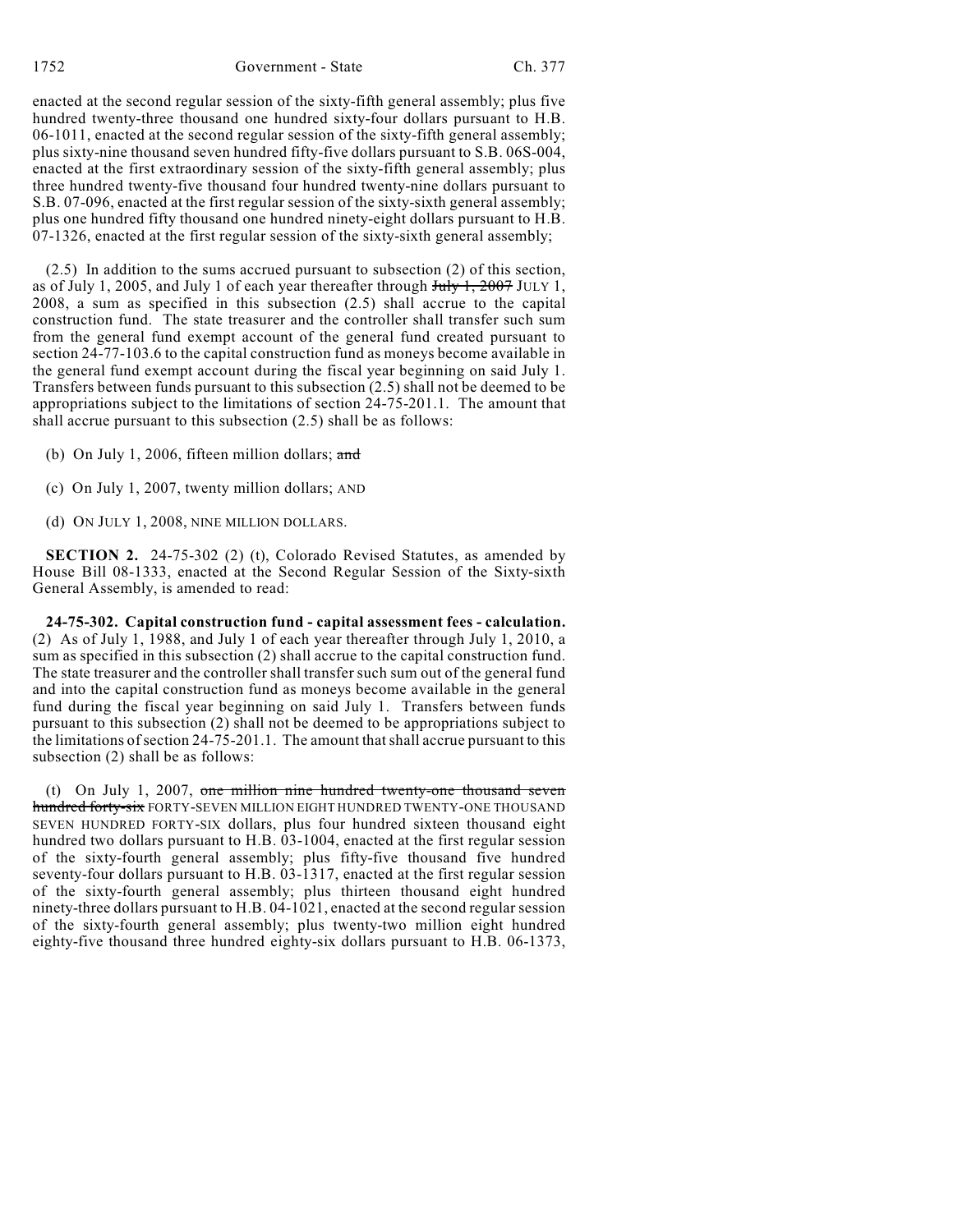enacted at the second regular session of the sixty-fifth general assembly; plus five hundred twenty-three thousand one hundred sixty-four dollars pursuant to H.B. 06-1011, enacted at the second regular session of the sixty-fifth general assembly; plus sixty-nine thousand seven hundred fifty-five dollars pursuant to S.B. 06S-004, enacted at the first extraordinary session of the sixty-fifth general assembly; plus three hundred twenty-five thousand four hundred twenty-nine dollars pursuant to S.B. 07-096, enacted at the first regular session of the sixty-sixth general assembly; plus one hundred fifty thousand one hundred ninety-eight dollars pursuant to H.B.  $07-1326$ , enacted at the first regular session of the sixty-sixth general assembly;

(2.5) In addition to the sums accrued pursuant to subsection (2) of this section, as of July 1, 2005, and July 1 of each year thereafter through  $\frac{\text{July }1, 2007}{\text{July }1, 2007}$  JULY 1, 2008, a sum as specified in this subsection (2.5) shall accrue to the capital construction fund. The state treasurer and the controller shall transfer such sum from the general fund exempt account of the general fund created pursuant to section 24-77-103.6 to the capital construction fund as moneys become available in the general fund exempt account during the fiscal year beginning on said July 1. Transfers between funds pursuant to this subsection (2.5) shall not be deemed to be appropriations subject to the limitations of section 24-75-201.1. The amount that shall accrue pursuant to this subsection (2.5) shall be as follows:

- (b) On July 1, 2006, fifteen million dollars; and
- (c) On July 1, 2007, twenty million dollars; AND
- (d) ON JULY 1, 2008, NINE MILLION DOLLARS.

**SECTION 2.** 24-75-302 (2) (t), Colorado Revised Statutes, as amended by House Bill 08-1333, enacted at the Second Regular Session of the Sixty-sixth General Assembly, is amended to read:

**24-75-302. Capital construction fund - capital assessment fees - calculation.** (2) As of July 1, 1988, and July 1 of each year thereafter through July 1, 2010, a sum as specified in this subsection (2) shall accrue to the capital construction fund. The state treasurer and the controller shall transfer such sum out of the general fund and into the capital construction fund as moneys become available in the general fund during the fiscal year beginning on said July 1. Transfers between funds pursuant to this subsection (2) shall not be deemed to be appropriations subject to the limitations of section 24-75-201.1. The amount that shall accrue pursuant to this subsection (2) shall be as follows:

(t) On July 1, 2007, one million nine hundred twenty-one thousand seven hundred forty-six FORTY-SEVEN MILLION EIGHT HUNDRED TWENTY-ONE THOUSAND SEVEN HUNDRED FORTY-SIX dollars, plus four hundred sixteen thousand eight hundred two dollars pursuant to H.B. 03-1004, enacted at the first regular session of the sixty-fourth general assembly; plus fifty-five thousand five hundred seventy-four dollars pursuant to H.B. 03-1317, enacted at the first regular session of the sixty-fourth general assembly; plus thirteen thousand eight hundred ninety-three dollars pursuant to H.B. 04-1021, enacted at the second regular session of the sixty-fourth general assembly; plus twenty-two million eight hundred eighty-five thousand three hundred eighty-six dollars pursuant to H.B. 06-1373,